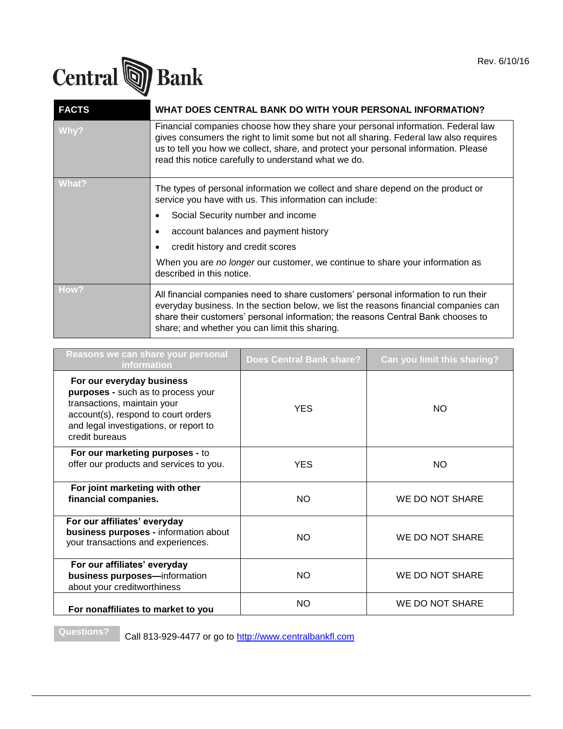

| <b>FACTS</b> | WHAT DOES CENTRAL BANK DO WITH YOUR PERSONAL INFORMATION?                                                                                                                                                                                                                                                                 |
|--------------|---------------------------------------------------------------------------------------------------------------------------------------------------------------------------------------------------------------------------------------------------------------------------------------------------------------------------|
| Why?         | Financial companies choose how they share your personal information. Federal law<br>gives consumers the right to limit some but not all sharing. Federal law also requires<br>us to tell you how we collect, share, and protect your personal information. Please<br>read this notice carefully to understand what we do. |
| <b>What?</b> | The types of personal information we collect and share depend on the product or<br>service you have with us. This information can include:                                                                                                                                                                                |
|              | Social Security number and income                                                                                                                                                                                                                                                                                         |
|              | account balances and payment history                                                                                                                                                                                                                                                                                      |
|              | credit history and credit scores                                                                                                                                                                                                                                                                                          |
|              | When you are no longer our customer, we continue to share your information as<br>described in this notice.                                                                                                                                                                                                                |
| How?         | All financial companies need to share customers' personal information to run their<br>everyday business. In the section below, we list the reasons financial companies can<br>share their customers' personal information; the reasons Central Bank chooses to<br>share; and whether you can limit this sharing.          |

| Reasons we can share your personal<br><i>information</i>                                                                                                                                          | <b>Does Central Bank share?</b> | Can you limit this sharing? |
|---------------------------------------------------------------------------------------------------------------------------------------------------------------------------------------------------|---------------------------------|-----------------------------|
| For our everyday business<br>purposes - such as to process your<br>transactions, maintain your<br>account(s), respond to court orders<br>and legal investigations, or report to<br>credit bureaus | <b>YES</b>                      | NO.                         |
| For our marketing purposes - to<br>offer our products and services to you.                                                                                                                        | <b>YES</b>                      | NO.                         |
| For joint marketing with other<br>financial companies.                                                                                                                                            | <b>NO</b>                       | WE DO NOT SHARE             |
| For our affiliates' everyday<br>business purposes - information about<br>your transactions and experiences.                                                                                       | <b>NO</b>                       | WE DO NOT SHARE             |
| For our affiliates' everyday<br>business purposes-information<br>about your creditworthiness                                                                                                      | <b>NO</b>                       | WE DO NOT SHARE             |
| For nonaffiliates to market to you                                                                                                                                                                | <b>NO</b>                       | WE DO NOT SHARE             |

**Questions?** Call 813-929-4477 or go to [http://www.centralbankfl.com](http://www.centralbankfl.com/)